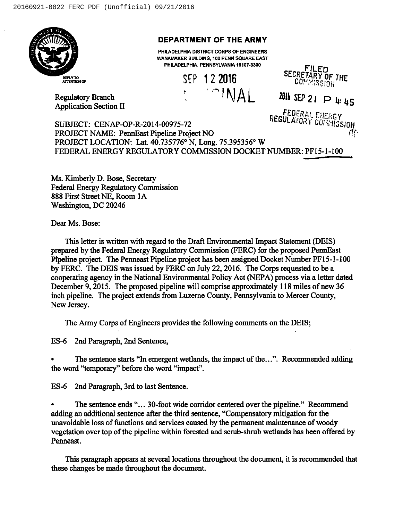

## DEPARTMENT OF THE ARMY

PHILADELPHIA DISTRICT CORPS OF ENGINEERS WANAMAKER BUILDING, 100 PENN SQUARE EAST PHILADELPHIA. PENNSYLVANIA 19107-3390<br>CEAA-FILED

SEP 1 2 2016 Regulatory Branch ' ' ' AINAL



Application Section II

 $2016$  SEP 21  $\triangleright$  4:45

f.EDERAL F.JERGY

10Ŋ SUBJECT: CENAP-OP-R-2014-00975-72 PROJECT NAME: PennEast Pipeline Project NO PROJECT LOCATION: Lat. 40.735776° N, Long. 75.395356° W FEDERAL ENERGY REGULATORY COMMISSION DOCKET NUMBER: PF15-1-100

Ms. Kimberly D. Bose, Secretary Federal Energy Regulatory Commission 888 First Street NE, Room IA Washington, DC 20246

Dear Ms. Bose:

This letter is written with regard to the Draft Environmental Impact Statement (DEIS) prepared by the Federal Energy Regulatory Commission (FERC) for the proposed PennEast Pfpeline project. The Penneast Pipeline project has been assigned Docket Number PF15-1-100 by FERC. The DEIS was issued by FERC on July 22, 2016. The Corps requested to be a cooperating agency in the National Environmental Policy Act (NEPA) process via a letter dated December 9, 2015. The proposed pipeline will comprise approximately 118 miles of new 36 inch pipeline. The project extends from Luzeme County, Pennsylvania to Mercer County, New Jersey.

The Army Corps of Engineers provides the following comments on the DEIS;

ES-6 2nd Paragraph, 2nd Sentence,

The sentence starts "In emergent wetlands, the impact of the...". Recommended adding the word "temporary" before the word "impact".

ES-6 2nd Paragraph, 3rd to last Sentence.

The sentence ends "...30-foot wide corridor centered over the pipeline." Recommend adding an additional sentence after the third sentence, "Compensatory mitigation for the unavoidable loss of functions and services caused by the permanent maintenance of woody vegetation over top of the pipeline within forested and scrub-shrub wetlands has been offered by Penneast.

This paragraph appears at several locations throughout the document, it is recommended that these changes be made throughout the document.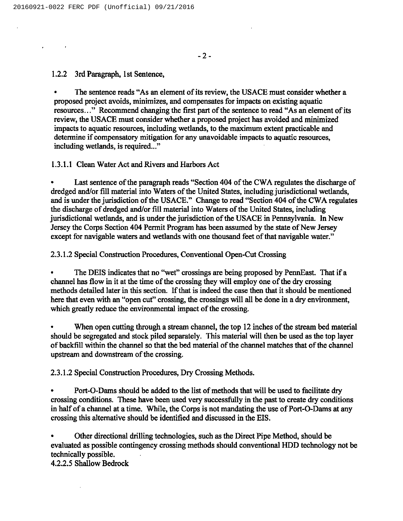1.2.2 3rd Paragraph, 1st Sentence,

The sentence reads "As an element of its review, the USACE must consider whether a proposed project avoids, minimizes, and compensates for impacts on existing aquatic resources..." Recommend changing the first part of the sentence to read "As an element of its review, the USACE must consider whether a proposed project has avoided and minimized impacts to aquatic resources, including wetlands, to the maximum extent practicable and determine if compensatory mitigation for any unavoidable impacts to aquatic resources, including wetlands, is required..."

## 1.3.1.1 Clean Water Act and Rivers and Harbors Act

Last sentence of the paragraph reads "Section 404 of the CWA regulates the discharge of dredged and/or fill material into Waters of the United States, including jurisdictional wetlands, and is under the jurisdiction of the USACE." Change to read "Section 404 of the CWA regulates the discharge of dredged and/or fill material into Waters of the United States, including jurisdictional wetlands, and is under the jurisdiction of the USACE in Pennsylvania. In New Jersey the Corps Section 404 Permit Program has been assumed by the state of New Jersey except for navigable waters and wetlands with one thousand feet of that navigable water."

## 2.3.1.2Special Construction Procedures, Conventional Open-Cut Crossing

The DEIS indicates that no "wet" crossings are being proposed by PennEast. That if a channel has flow in it at the time of the crossing they will employ one of the dry crossing methods detailed later in this section. If that is indeed the case then that it should be mentioned here that even with an "open cut" crossing, the crossings will all be done in a dry environment, which greatly reduce the environmental impact of the crossing.

When open cutting through a stream channel, the top 12 inches of the stream bed material should be segregated and stock piled separately. This material will then be used as the top layer of backfill within the channel so that the bed material of the channel matches that of the channel upstream and downstream of the crossing.

2.3.1.2Special Construction Procedures, Dry Crossing Methods.

Port-O-Dams should be added to the list of methods that will be used to facilitate dry crossing conditions. These have been used very successfully in the past to create dry conditions in half of a channel at a time. While, the Corps is not mandating the use of Port-0-Dams at any crossing this alternative should be identified and discussed in the EIS.

Other directional drilling technologies, such as the Direct Pipe Method, should be evaluated as possible contingency crossing methods should conventional HDD technology not be technically possible.

4.2.2.5 Shallow Bedrock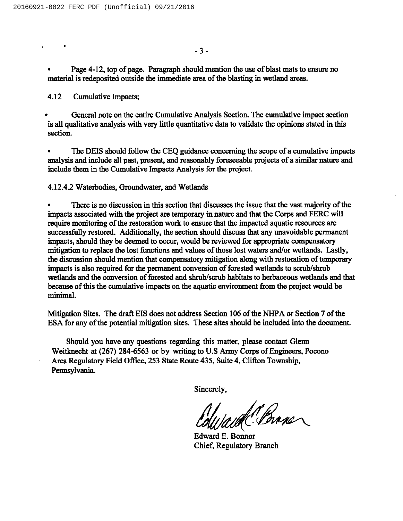Page 4-12, top of page. Paragraph should mention the use of blast mats to ensure no material is redeposited outside the immediate area of the blasting in wetland areas.

4.12 Cumulative Impacts;

 $\hat{\mathbf{r}}$ 

General note on the entire Cumulative Analysis Section. The cumulative impact section is all qualitative analysis with very little quantitative data to validate the opinions stated in this section.

The DEIS should follow the CEQ guidance concerning the scope of a cumulative impacts analysis and include all past, present, and reasonably foreseeable projects of a similar nature and include them in the Cumulative Impacts Analysis for the project.

4.12.4.2Waterbodies, Groundwater, and Wetlands

There is no discussion in this section that discusses the issue that the vast majority of the impacts associated with the project are temporary in nature and that the Corps and FERC will require monitoring of the restoration work to ensure that the impacted aquatic resources are successfully restored. Additionally, the section should discuss that any unavoidable permanent impacts, should they be deemed to occur, would be reviewed for appropriate compensatory mitigation to replace the lost functions and values of those lost waters and/or wetlands. Lastly, the discussion should mention that compensatory mitigation along with restoration of temporary impacts is also required for the permanent conversion of forested wetlands to scrub/shrub wetlands and the conversion of forested and shrub/scrub habitats to herbaceous wetlands and that because of this the cumulative impacts on the aquatic environment from the project would be minimal.

Mitigation Sites. The draft EIS does not address Section 106 of the NHPA or Section 7 of the ESA for any of the potential mitigation sites. These sites should be included into the document.

Should you have any questions regarding this matter, please contact Glenn Weitknecht at (267) 284-6563 or by writing to U.S Army Corps of Engineers, Pocono Area Regulatory Field Office, 253 State Route 435, Suite 4, Clifton Township, Pennsylvania.

Sincerely,

Sincerely,<br>Coll/aud C-<br>Edward E. Bonno

Chief, Regulatory Branch